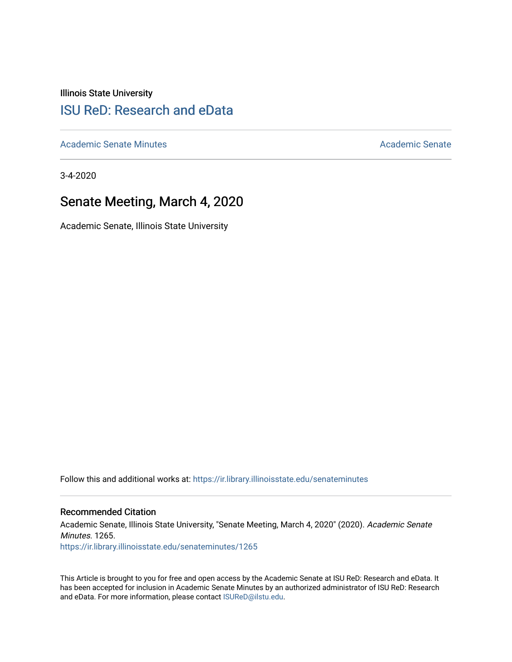Illinois State University

# [ISU ReD: Research and eData](https://ir.library.illinoisstate.edu/)

[Academic Senate Minutes](https://ir.library.illinoisstate.edu/senateminutes) [Academic Senate](https://ir.library.illinoisstate.edu/senate) Academic Senate

3-4-2020

# Senate Meeting, March 4, 2020

Academic Senate, Illinois State University

Follow this and additional works at: [https://ir.library.illinoisstate.edu/senateminutes](https://ir.library.illinoisstate.edu/senateminutes?utm_source=ir.library.illinoisstate.edu%2Fsenateminutes%2F1265&utm_medium=PDF&utm_campaign=PDFCoverPages) 

#### Recommended Citation

Academic Senate, Illinois State University, "Senate Meeting, March 4, 2020" (2020). Academic Senate Minutes. 1265. [https://ir.library.illinoisstate.edu/senateminutes/1265](https://ir.library.illinoisstate.edu/senateminutes/1265?utm_source=ir.library.illinoisstate.edu%2Fsenateminutes%2F1265&utm_medium=PDF&utm_campaign=PDFCoverPages)

This Article is brought to you for free and open access by the Academic Senate at ISU ReD: Research and eData. It has been accepted for inclusion in Academic Senate Minutes by an authorized administrator of ISU ReD: Research and eData. For more information, please contact [ISUReD@ilstu.edu.](mailto:ISUReD@ilstu.edu)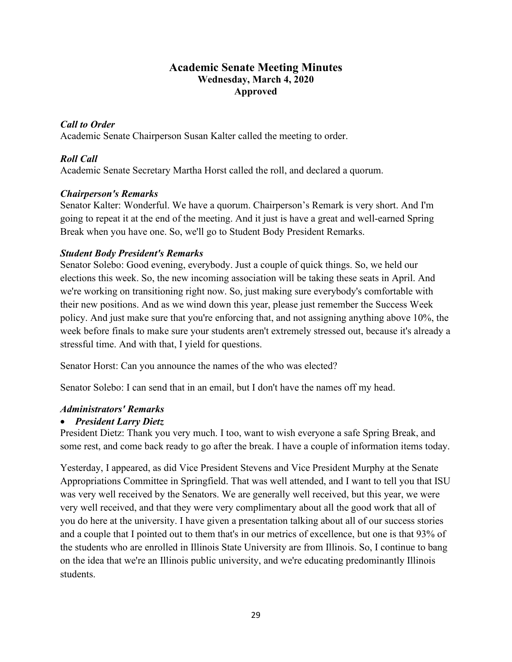# **Academic Senate Meeting Minutes Wednesday, March 4, 2020 Approved**

# *Call to Order*

Academic Senate Chairperson Susan Kalter called the meeting to order.

# *Roll Call*

Academic Senate Secretary Martha Horst called the roll, and declared a quorum.

## *Chairperson's Remarks*

Senator Kalter: Wonderful. We have a quorum. Chairperson's Remark is very short. And I'm going to repeat it at the end of the meeting. And it just is have a great and well-earned Spring Break when you have one. So, we'll go to Student Body President Remarks.

## *Student Body President's Remarks*

Senator Solebo: Good evening, everybody. Just a couple of quick things. So, we held our elections this week. So, the new incoming association will be taking these seats in April. And we're working on transitioning right now. So, just making sure everybody's comfortable with their new positions. And as we wind down this year, please just remember the Success Week policy. And just make sure that you're enforcing that, and not assigning anything above 10%, the week before finals to make sure your students aren't extremely stressed out, because it's already a stressful time. And with that, I yield for questions.

Senator Horst: Can you announce the names of the who was elected?

Senator Solebo: I can send that in an email, but I don't have the names off my head.

#### *Administrators' Remarks*

#### • *President Larry Dietz*

President Dietz: Thank you very much. I too, want to wish everyone a safe Spring Break, and some rest, and come back ready to go after the break. I have a couple of information items today.

Yesterday, I appeared, as did Vice President Stevens and Vice President Murphy at the Senate Appropriations Committee in Springfield. That was well attended, and I want to tell you that ISU was very well received by the Senators. We are generally well received, but this year, we were very well received, and that they were very complimentary about all the good work that all of you do here at the university. I have given a presentation talking about all of our success stories and a couple that I pointed out to them that's in our metrics of excellence, but one is that 93% of the students who are enrolled in Illinois State University are from Illinois. So, I continue to bang on the idea that we're an Illinois public university, and we're educating predominantly Illinois students.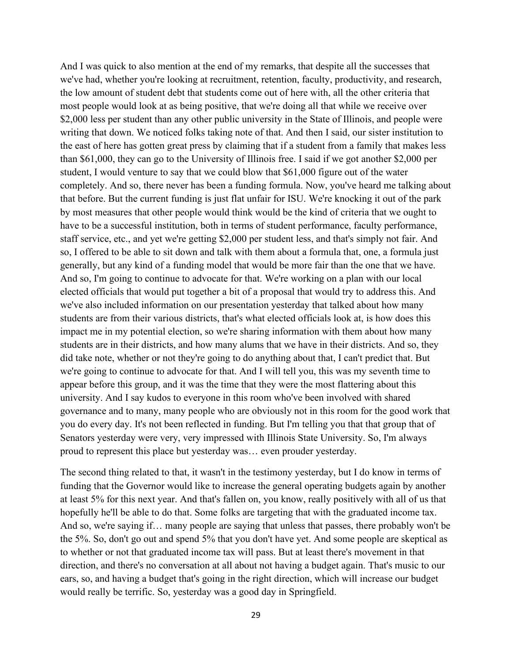And I was quick to also mention at the end of my remarks, that despite all the successes that we've had, whether you're looking at recruitment, retention, faculty, productivity, and research, the low amount of student debt that students come out of here with, all the other criteria that most people would look at as being positive, that we're doing all that while we receive over \$2,000 less per student than any other public university in the State of Illinois, and people were writing that down. We noticed folks taking note of that. And then I said, our sister institution to the east of here has gotten great press by claiming that if a student from a family that makes less than \$61,000, they can go to the University of Illinois free. I said if we got another \$2,000 per student, I would venture to say that we could blow that \$61,000 figure out of the water completely. And so, there never has been a funding formula. Now, you've heard me talking about that before. But the current funding is just flat unfair for ISU. We're knocking it out of the park by most measures that other people would think would be the kind of criteria that we ought to have to be a successful institution, both in terms of student performance, faculty performance, staff service, etc., and yet we're getting \$2,000 per student less, and that's simply not fair. And so, I offered to be able to sit down and talk with them about a formula that, one, a formula just generally, but any kind of a funding model that would be more fair than the one that we have. And so, I'm going to continue to advocate for that. We're working on a plan with our local elected officials that would put together a bit of a proposal that would try to address this. And we've also included information on our presentation yesterday that talked about how many students are from their various districts, that's what elected officials look at, is how does this impact me in my potential election, so we're sharing information with them about how many students are in their districts, and how many alums that we have in their districts. And so, they did take note, whether or not they're going to do anything about that, I can't predict that. But we're going to continue to advocate for that. And I will tell you, this was my seventh time to appear before this group, and it was the time that they were the most flattering about this university. And I say kudos to everyone in this room who've been involved with shared governance and to many, many people who are obviously not in this room for the good work that you do every day. It's not been reflected in funding. But I'm telling you that that group that of Senators yesterday were very, very impressed with Illinois State University. So, I'm always proud to represent this place but yesterday was… even prouder yesterday.

The second thing related to that, it wasn't in the testimony yesterday, but I do know in terms of funding that the Governor would like to increase the general operating budgets again by another at least 5% for this next year. And that's fallen on, you know, really positively with all of us that hopefully he'll be able to do that. Some folks are targeting that with the graduated income tax. And so, we're saying if… many people are saying that unless that passes, there probably won't be the 5%. So, don't go out and spend 5% that you don't have yet. And some people are skeptical as to whether or not that graduated income tax will pass. But at least there's movement in that direction, and there's no conversation at all about not having a budget again. That's music to our ears, so, and having a budget that's going in the right direction, which will increase our budget would really be terrific. So, yesterday was a good day in Springfield.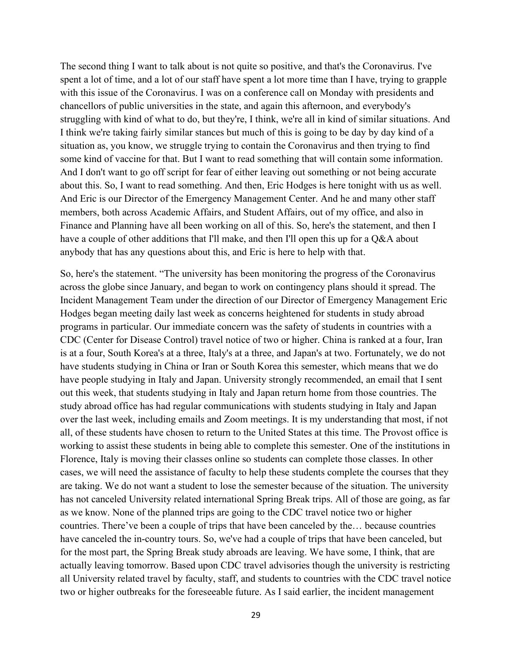The second thing I want to talk about is not quite so positive, and that's the Coronavirus. I've spent a lot of time, and a lot of our staff have spent a lot more time than I have, trying to grapple with this issue of the Coronavirus. I was on a conference call on Monday with presidents and chancellors of public universities in the state, and again this afternoon, and everybody's struggling with kind of what to do, but they're, I think, we're all in kind of similar situations. And I think we're taking fairly similar stances but much of this is going to be day by day kind of a situation as, you know, we struggle trying to contain the Coronavirus and then trying to find some kind of vaccine for that. But I want to read something that will contain some information. And I don't want to go off script for fear of either leaving out something or not being accurate about this. So, I want to read something. And then, Eric Hodges is here tonight with us as well. And Eric is our Director of the Emergency Management Center. And he and many other staff members, both across Academic Affairs, and Student Affairs, out of my office, and also in Finance and Planning have all been working on all of this. So, here's the statement, and then I have a couple of other additions that I'll make, and then I'll open this up for a Q&A about anybody that has any questions about this, and Eric is here to help with that.

So, here's the statement. "The university has been monitoring the progress of the Coronavirus across the globe since January, and began to work on contingency plans should it spread. The Incident Management Team under the direction of our Director of Emergency Management Eric Hodges began meeting daily last week as concerns heightened for students in study abroad programs in particular. Our immediate concern was the safety of students in countries with a CDC (Center for Disease Control) travel notice of two or higher. China is ranked at a four, Iran is at a four, South Korea's at a three, Italy's at a three, and Japan's at two. Fortunately, we do not have students studying in China or Iran or South Korea this semester, which means that we do have people studying in Italy and Japan. University strongly recommended, an email that I sent out this week, that students studying in Italy and Japan return home from those countries. The study abroad office has had regular communications with students studying in Italy and Japan over the last week, including emails and Zoom meetings. It is my understanding that most, if not all, of these students have chosen to return to the United States at this time. The Provost office is working to assist these students in being able to complete this semester. One of the institutions in Florence, Italy is moving their classes online so students can complete those classes. In other cases, we will need the assistance of faculty to help these students complete the courses that they are taking. We do not want a student to lose the semester because of the situation. The university has not canceled University related international Spring Break trips. All of those are going, as far as we know. None of the planned trips are going to the CDC travel notice two or higher countries. There've been a couple of trips that have been canceled by the… because countries have canceled the in-country tours. So, we've had a couple of trips that have been canceled, but for the most part, the Spring Break study abroads are leaving. We have some, I think, that are actually leaving tomorrow. Based upon CDC travel advisories though the university is restricting all University related travel by faculty, staff, and students to countries with the CDC travel notice two or higher outbreaks for the foreseeable future. As I said earlier, the incident management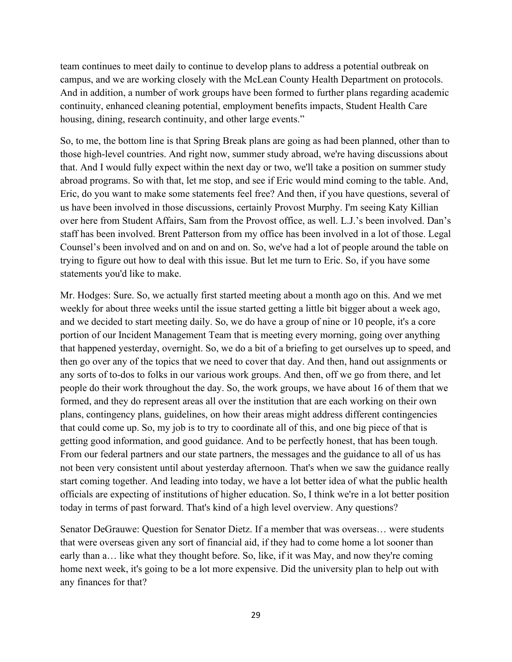team continues to meet daily to continue to develop plans to address a potential outbreak on campus, and we are working closely with the McLean County Health Department on protocols. And in addition, a number of work groups have been formed to further plans regarding academic continuity, enhanced cleaning potential, employment benefits impacts, Student Health Care housing, dining, research continuity, and other large events."

So, to me, the bottom line is that Spring Break plans are going as had been planned, other than to those high-level countries. And right now, summer study abroad, we're having discussions about that. And I would fully expect within the next day or two, we'll take a position on summer study abroad programs. So with that, let me stop, and see if Eric would mind coming to the table. And, Eric, do you want to make some statements feel free? And then, if you have questions, several of us have been involved in those discussions, certainly Provost Murphy. I'm seeing Katy Killian over here from Student Affairs, Sam from the Provost office, as well. L.J.'s been involved. Dan's staff has been involved. Brent Patterson from my office has been involved in a lot of those. Legal Counsel's been involved and on and on and on. So, we've had a lot of people around the table on trying to figure out how to deal with this issue. But let me turn to Eric. So, if you have some statements you'd like to make.

Mr. Hodges: Sure. So, we actually first started meeting about a month ago on this. And we met weekly for about three weeks until the issue started getting a little bit bigger about a week ago, and we decided to start meeting daily. So, we do have a group of nine or 10 people, it's a core portion of our Incident Management Team that is meeting every morning, going over anything that happened yesterday, overnight. So, we do a bit of a briefing to get ourselves up to speed, and then go over any of the topics that we need to cover that day. And then, hand out assignments or any sorts of to-dos to folks in our various work groups. And then, off we go from there, and let people do their work throughout the day. So, the work groups, we have about 16 of them that we formed, and they do represent areas all over the institution that are each working on their own plans, contingency plans, guidelines, on how their areas might address different contingencies that could come up. So, my job is to try to coordinate all of this, and one big piece of that is getting good information, and good guidance. And to be perfectly honest, that has been tough. From our federal partners and our state partners, the messages and the guidance to all of us has not been very consistent until about yesterday afternoon. That's when we saw the guidance really start coming together. And leading into today, we have a lot better idea of what the public health officials are expecting of institutions of higher education. So, I think we're in a lot better position today in terms of past forward. That's kind of a high level overview. Any questions?

Senator DeGrauwe: Question for Senator Dietz. If a member that was overseas… were students that were overseas given any sort of financial aid, if they had to come home a lot sooner than early than a… like what they thought before. So, like, if it was May, and now they're coming home next week, it's going to be a lot more expensive. Did the university plan to help out with any finances for that?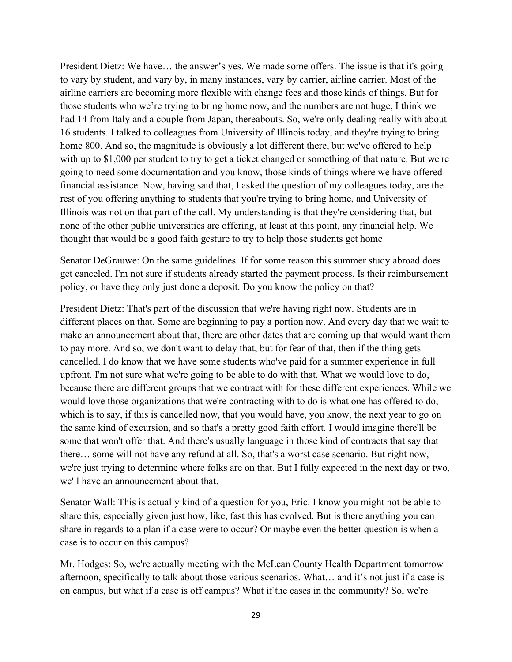President Dietz: We have… the answer's yes. We made some offers. The issue is that it's going to vary by student, and vary by, in many instances, vary by carrier, airline carrier. Most of the airline carriers are becoming more flexible with change fees and those kinds of things. But for those students who we're trying to bring home now, and the numbers are not huge, I think we had 14 from Italy and a couple from Japan, thereabouts. So, we're only dealing really with about 16 students. I talked to colleagues from University of Illinois today, and they're trying to bring home 800. And so, the magnitude is obviously a lot different there, but we've offered to help with up to \$1,000 per student to try to get a ticket changed or something of that nature. But we're going to need some documentation and you know, those kinds of things where we have offered financial assistance. Now, having said that, I asked the question of my colleagues today, are the rest of you offering anything to students that you're trying to bring home, and University of Illinois was not on that part of the call. My understanding is that they're considering that, but none of the other public universities are offering, at least at this point, any financial help. We thought that would be a good faith gesture to try to help those students get home

Senator DeGrauwe: On the same guidelines. If for some reason this summer study abroad does get canceled. I'm not sure if students already started the payment process. Is their reimbursement policy, or have they only just done a deposit. Do you know the policy on that?

President Dietz: That's part of the discussion that we're having right now. Students are in different places on that. Some are beginning to pay a portion now. And every day that we wait to make an announcement about that, there are other dates that are coming up that would want them to pay more. And so, we don't want to delay that, but for fear of that, then if the thing gets cancelled. I do know that we have some students who've paid for a summer experience in full upfront. I'm not sure what we're going to be able to do with that. What we would love to do, because there are different groups that we contract with for these different experiences. While we would love those organizations that we're contracting with to do is what one has offered to do, which is to say, if this is cancelled now, that you would have, you know, the next year to go on the same kind of excursion, and so that's a pretty good faith effort. I would imagine there'll be some that won't offer that. And there's usually language in those kind of contracts that say that there… some will not have any refund at all. So, that's a worst case scenario. But right now, we're just trying to determine where folks are on that. But I fully expected in the next day or two, we'll have an announcement about that.

Senator Wall: This is actually kind of a question for you, Eric. I know you might not be able to share this, especially given just how, like, fast this has evolved. But is there anything you can share in regards to a plan if a case were to occur? Or maybe even the better question is when a case is to occur on this campus?

Mr. Hodges: So, we're actually meeting with the McLean County Health Department tomorrow afternoon, specifically to talk about those various scenarios. What… and it's not just if a case is on campus, but what if a case is off campus? What if the cases in the community? So, we're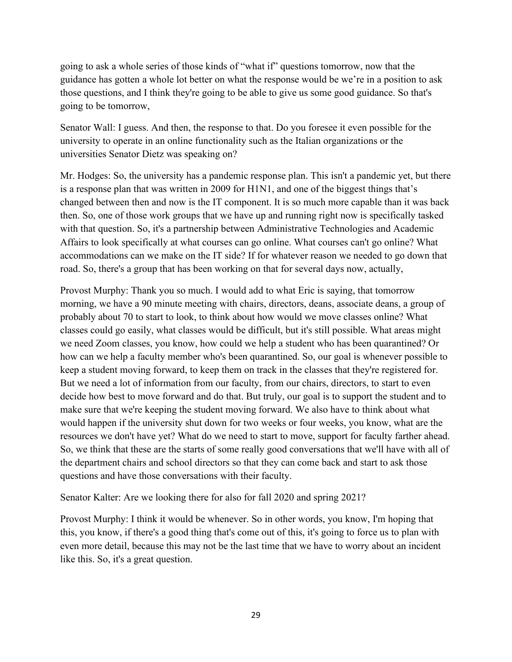going to ask a whole series of those kinds of "what if" questions tomorrow, now that the guidance has gotten a whole lot better on what the response would be we're in a position to ask those questions, and I think they're going to be able to give us some good guidance. So that's going to be tomorrow,

Senator Wall: I guess. And then, the response to that. Do you foresee it even possible for the university to operate in an online functionality such as the Italian organizations or the universities Senator Dietz was speaking on?

Mr. Hodges: So, the university has a pandemic response plan. This isn't a pandemic yet, but there is a response plan that was written in 2009 for H1N1, and one of the biggest things that's changed between then and now is the IT component. It is so much more capable than it was back then. So, one of those work groups that we have up and running right now is specifically tasked with that question. So, it's a partnership between Administrative Technologies and Academic Affairs to look specifically at what courses can go online. What courses can't go online? What accommodations can we make on the IT side? If for whatever reason we needed to go down that road. So, there's a group that has been working on that for several days now, actually,

Provost Murphy: Thank you so much. I would add to what Eric is saying, that tomorrow morning, we have a 90 minute meeting with chairs, directors, deans, associate deans, a group of probably about 70 to start to look, to think about how would we move classes online? What classes could go easily, what classes would be difficult, but it's still possible. What areas might we need Zoom classes, you know, how could we help a student who has been quarantined? Or how can we help a faculty member who's been quarantined. So, our goal is whenever possible to keep a student moving forward, to keep them on track in the classes that they're registered for. But we need a lot of information from our faculty, from our chairs, directors, to start to even decide how best to move forward and do that. But truly, our goal is to support the student and to make sure that we're keeping the student moving forward. We also have to think about what would happen if the university shut down for two weeks or four weeks, you know, what are the resources we don't have yet? What do we need to start to move, support for faculty farther ahead. So, we think that these are the starts of some really good conversations that we'll have with all of the department chairs and school directors so that they can come back and start to ask those questions and have those conversations with their faculty.

Senator Kalter: Are we looking there for also for fall 2020 and spring 2021?

Provost Murphy: I think it would be whenever. So in other words, you know, I'm hoping that this, you know, if there's a good thing that's come out of this, it's going to force us to plan with even more detail, because this may not be the last time that we have to worry about an incident like this. So, it's a great question.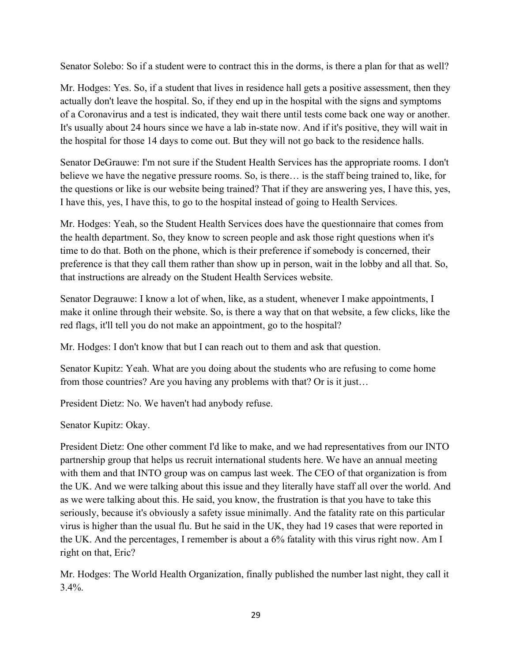Senator Solebo: So if a student were to contract this in the dorms, is there a plan for that as well?

Mr. Hodges: Yes. So, if a student that lives in residence hall gets a positive assessment, then they actually don't leave the hospital. So, if they end up in the hospital with the signs and symptoms of a Coronavirus and a test is indicated, they wait there until tests come back one way or another. It's usually about 24 hours since we have a lab in-state now. And if it's positive, they will wait in the hospital for those 14 days to come out. But they will not go back to the residence halls.

Senator DeGrauwe: I'm not sure if the Student Health Services has the appropriate rooms. I don't believe we have the negative pressure rooms. So, is there… is the staff being trained to, like, for the questions or like is our website being trained? That if they are answering yes, I have this, yes, I have this, yes, I have this, to go to the hospital instead of going to Health Services.

Mr. Hodges: Yeah, so the Student Health Services does have the questionnaire that comes from the health department. So, they know to screen people and ask those right questions when it's time to do that. Both on the phone, which is their preference if somebody is concerned, their preference is that they call them rather than show up in person, wait in the lobby and all that. So, that instructions are already on the Student Health Services website.

Senator Degrauwe: I know a lot of when, like, as a student, whenever I make appointments, I make it online through their website. So, is there a way that on that website, a few clicks, like the red flags, it'll tell you do not make an appointment, go to the hospital?

Mr. Hodges: I don't know that but I can reach out to them and ask that question.

Senator Kupitz: Yeah. What are you doing about the students who are refusing to come home from those countries? Are you having any problems with that? Or is it just…

President Dietz: No. We haven't had anybody refuse.

Senator Kupitz: Okay.

President Dietz: One other comment I'd like to make, and we had representatives from our INTO partnership group that helps us recruit international students here. We have an annual meeting with them and that INTO group was on campus last week. The CEO of that organization is from the UK. And we were talking about this issue and they literally have staff all over the world. And as we were talking about this. He said, you know, the frustration is that you have to take this seriously, because it's obviously a safety issue minimally. And the fatality rate on this particular virus is higher than the usual flu. But he said in the UK, they had 19 cases that were reported in the UK. And the percentages, I remember is about a 6% fatality with this virus right now. Am I right on that, Eric?

Mr. Hodges: The World Health Organization, finally published the number last night, they call it  $3.4\%$ .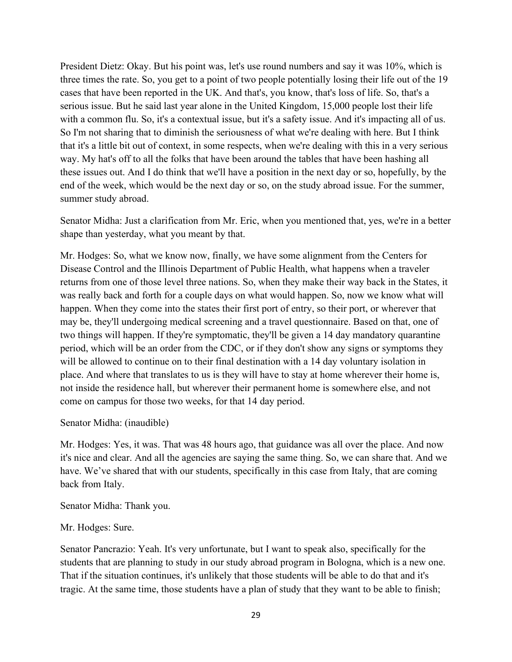President Dietz: Okay. But his point was, let's use round numbers and say it was 10%, which is three times the rate. So, you get to a point of two people potentially losing their life out of the 19 cases that have been reported in the UK. And that's, you know, that's loss of life. So, that's a serious issue. But he said last year alone in the United Kingdom, 15,000 people lost their life with a common flu. So, it's a contextual issue, but it's a safety issue. And it's impacting all of us. So I'm not sharing that to diminish the seriousness of what we're dealing with here. But I think that it's a little bit out of context, in some respects, when we're dealing with this in a very serious way. My hat's off to all the folks that have been around the tables that have been hashing all these issues out. And I do think that we'll have a position in the next day or so, hopefully, by the end of the week, which would be the next day or so, on the study abroad issue. For the summer, summer study abroad.

Senator Midha: Just a clarification from Mr. Eric, when you mentioned that, yes, we're in a better shape than yesterday, what you meant by that.

Mr. Hodges: So, what we know now, finally, we have some alignment from the Centers for Disease Control and the Illinois Department of Public Health, what happens when a traveler returns from one of those level three nations. So, when they make their way back in the States, it was really back and forth for a couple days on what would happen. So, now we know what will happen. When they come into the states their first port of entry, so their port, or wherever that may be, they'll undergoing medical screening and a travel questionnaire. Based on that, one of two things will happen. If they're symptomatic, they'll be given a 14 day mandatory quarantine period, which will be an order from the CDC, or if they don't show any signs or symptoms they will be allowed to continue on to their final destination with a 14 day voluntary isolation in place. And where that translates to us is they will have to stay at home wherever their home is, not inside the residence hall, but wherever their permanent home is somewhere else, and not come on campus for those two weeks, for that 14 day period.

#### Senator Midha: (inaudible)

Mr. Hodges: Yes, it was. That was 48 hours ago, that guidance was all over the place. And now it's nice and clear. And all the agencies are saying the same thing. So, we can share that. And we have. We've shared that with our students, specifically in this case from Italy, that are coming back from Italy.

Senator Midha: Thank you.

#### Mr. Hodges: Sure.

Senator Pancrazio: Yeah. It's very unfortunate, but I want to speak also, specifically for the students that are planning to study in our study abroad program in Bologna, which is a new one. That if the situation continues, it's unlikely that those students will be able to do that and it's tragic. At the same time, those students have a plan of study that they want to be able to finish;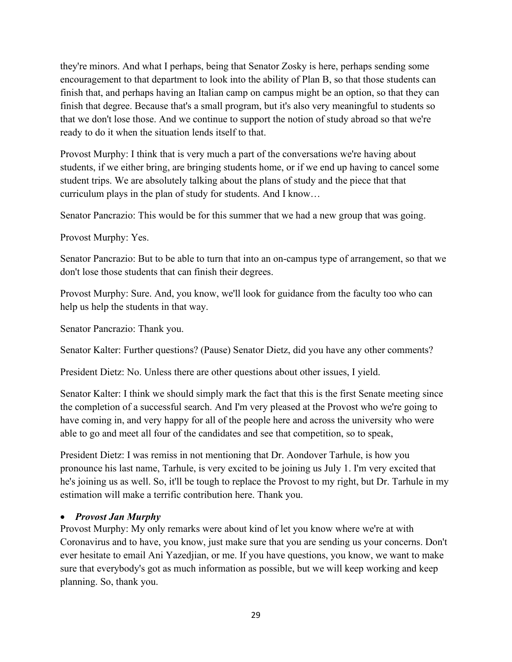they're minors. And what I perhaps, being that Senator Zosky is here, perhaps sending some encouragement to that department to look into the ability of Plan B, so that those students can finish that, and perhaps having an Italian camp on campus might be an option, so that they can finish that degree. Because that's a small program, but it's also very meaningful to students so that we don't lose those. And we continue to support the notion of study abroad so that we're ready to do it when the situation lends itself to that.

Provost Murphy: I think that is very much a part of the conversations we're having about students, if we either bring, are bringing students home, or if we end up having to cancel some student trips. We are absolutely talking about the plans of study and the piece that that curriculum plays in the plan of study for students. And I know…

Senator Pancrazio: This would be for this summer that we had a new group that was going.

Provost Murphy: Yes.

Senator Pancrazio: But to be able to turn that into an on-campus type of arrangement, so that we don't lose those students that can finish their degrees.

Provost Murphy: Sure. And, you know, we'll look for guidance from the faculty too who can help us help the students in that way.

Senator Pancrazio: Thank you.

Senator Kalter: Further questions? (Pause) Senator Dietz, did you have any other comments?

President Dietz: No. Unless there are other questions about other issues, I yield.

Senator Kalter: I think we should simply mark the fact that this is the first Senate meeting since the completion of a successful search. And I'm very pleased at the Provost who we're going to have coming in, and very happy for all of the people here and across the university who were able to go and meet all four of the candidates and see that competition, so to speak,

President Dietz: I was remiss in not mentioning that Dr. Aondover Tarhule, is how you pronounce his last name, Tarhule, is very excited to be joining us July 1. I'm very excited that he's joining us as well. So, it'll be tough to replace the Provost to my right, but Dr. Tarhule in my estimation will make a terrific contribution here. Thank you.

#### • *Provost Jan Murphy*

Provost Murphy: My only remarks were about kind of let you know where we're at with Coronavirus and to have, you know, just make sure that you are sending us your concerns. Don't ever hesitate to email Ani Yazedjian, or me. If you have questions, you know, we want to make sure that everybody's got as much information as possible, but we will keep working and keep planning. So, thank you.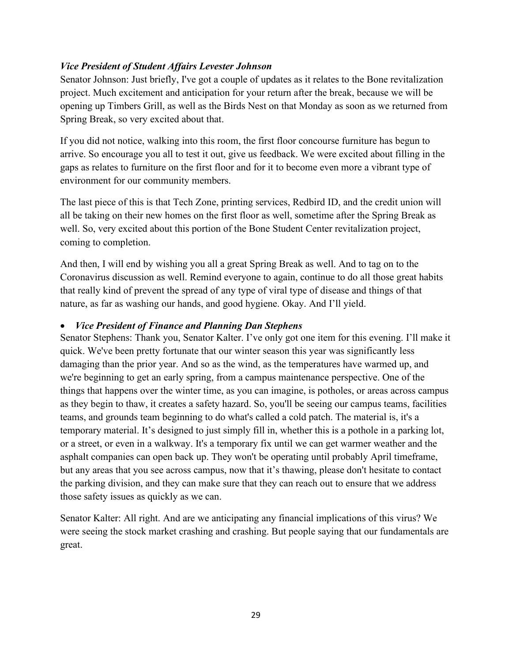# *Vice President of Student Affairs Levester Johnson*

Senator Johnson: Just briefly, I've got a couple of updates as it relates to the Bone revitalization project. Much excitement and anticipation for your return after the break, because we will be opening up Timbers Grill, as well as the Birds Nest on that Monday as soon as we returned from Spring Break, so very excited about that.

If you did not notice, walking into this room, the first floor concourse furniture has begun to arrive. So encourage you all to test it out, give us feedback. We were excited about filling in the gaps as relates to furniture on the first floor and for it to become even more a vibrant type of environment for our community members.

The last piece of this is that Tech Zone, printing services, Redbird ID, and the credit union will all be taking on their new homes on the first floor as well, sometime after the Spring Break as well. So, very excited about this portion of the Bone Student Center revitalization project, coming to completion.

And then, I will end by wishing you all a great Spring Break as well. And to tag on to the Coronavirus discussion as well. Remind everyone to again, continue to do all those great habits that really kind of prevent the spread of any type of viral type of disease and things of that nature, as far as washing our hands, and good hygiene. Okay. And I'll yield.

# • *Vice President of Finance and Planning Dan Stephens*

Senator Stephens: Thank you, Senator Kalter. I've only got one item for this evening. I'll make it quick. We've been pretty fortunate that our winter season this year was significantly less damaging than the prior year. And so as the wind, as the temperatures have warmed up, and we're beginning to get an early spring, from a campus maintenance perspective. One of the things that happens over the winter time, as you can imagine, is potholes, or areas across campus as they begin to thaw, it creates a safety hazard. So, you'll be seeing our campus teams, facilities teams, and grounds team beginning to do what's called a cold patch. The material is, it's a temporary material. It's designed to just simply fill in, whether this is a pothole in a parking lot, or a street, or even in a walkway. It's a temporary fix until we can get warmer weather and the asphalt companies can open back up. They won't be operating until probably April timeframe, but any areas that you see across campus, now that it's thawing, please don't hesitate to contact the parking division, and they can make sure that they can reach out to ensure that we address those safety issues as quickly as we can.

Senator Kalter: All right. And are we anticipating any financial implications of this virus? We were seeing the stock market crashing and crashing. But people saying that our fundamentals are great.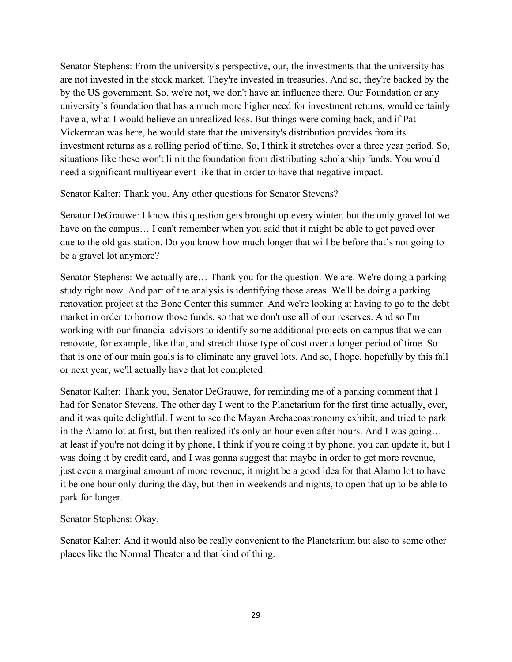Senator Stephens: From the university's perspective, our, the investments that the university has are not invested in the stock market. They're invested in treasuries. And so, they're backed by the by the US government. So, we're not, we don't have an influence there. Our Foundation or any university's foundation that has a much more higher need for investment returns, would certainly have a, what I would believe an unrealized loss. But things were coming back, and if Pat Vickerman was here, he would state that the university's distribution provides from its investment returns as a rolling period of time. So, I think it stretches over a three year period. So, situations like these won't limit the foundation from distributing scholarship funds. You would need a significant multiyear event like that in order to have that negative impact.

Senator Kalter: Thank you. Any other questions for Senator Stevens?

Senator DeGrauwe: I know this question gets brought up every winter, but the only gravel lot we have on the campus... I can't remember when you said that it might be able to get paved over due to the old gas station. Do you know how much longer that will be before that's not going to be a gravel lot anymore?

Senator Stephens: We actually are… Thank you for the question. We are. We're doing a parking study right now. And part of the analysis is identifying those areas. We'll be doing a parking renovation project at the Bone Center this summer. And we're looking at having to go to the debt market in order to borrow those funds, so that we don't use all of our reserves. And so I'm working with our financial advisors to identify some additional projects on campus that we can renovate, for example, like that, and stretch those type of cost over a longer period of time. So that is one of our main goals is to eliminate any gravel lots. And so, I hope, hopefully by this fall or next year, we'll actually have that lot completed.

Senator Kalter: Thank you, Senator DeGrauwe, for reminding me of a parking comment that I had for Senator Stevens. The other day I went to the Planetarium for the first time actually, ever, and it was quite delightful. I went to see the Mayan Archaeoastronomy exhibit, and tried to park in the Alamo lot at first, but then realized it's only an hour even after hours. And I was going… at least if you're not doing it by phone, I think if you're doing it by phone, you can update it, but I was doing it by credit card, and I was gonna suggest that maybe in order to get more revenue, just even a marginal amount of more revenue, it might be a good idea for that Alamo lot to have it be one hour only during the day, but then in weekends and nights, to open that up to be able to park for longer.

Senator Stephens: Okay.

Senator Kalter: And it would also be really convenient to the Planetarium but also to some other places like the Normal Theater and that kind of thing.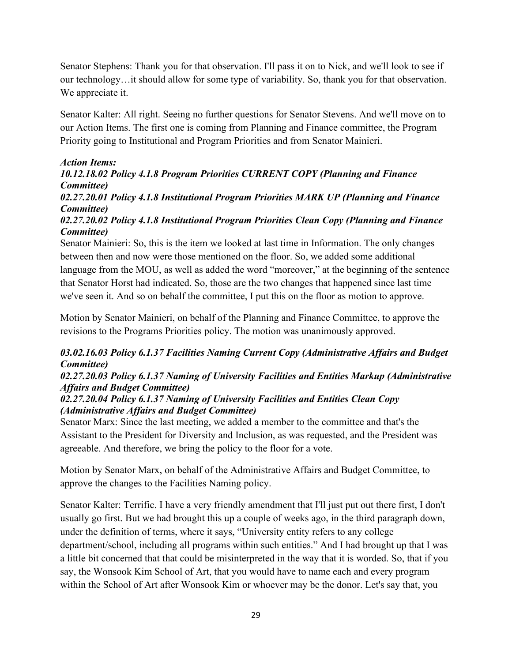Senator Stephens: Thank you for that observation. I'll pass it on to Nick, and we'll look to see if our technology…it should allow for some type of variability. So, thank you for that observation. We appreciate it.

Senator Kalter: All right. Seeing no further questions for Senator Stevens. And we'll move on to our Action Items. The first one is coming from Planning and Finance committee, the Program Priority going to Institutional and Program Priorities and from Senator Mainieri.

# *Action Items:*

# *10.12.18.02 Policy 4.1.8 Program Priorities CURRENT COPY (Planning and Finance Committee)*

*02.27.20.01 Policy 4.1.8 Institutional Program Priorities MARK UP (Planning and Finance Committee)*

# *02.27.20.02 Policy 4.1.8 Institutional Program Priorities Clean Copy (Planning and Finance Committee)*

Senator Mainieri: So, this is the item we looked at last time in Information. The only changes between then and now were those mentioned on the floor. So, we added some additional language from the MOU, as well as added the word "moreover," at the beginning of the sentence that Senator Horst had indicated. So, those are the two changes that happened since last time we've seen it. And so on behalf the committee, I put this on the floor as motion to approve.

Motion by Senator Mainieri, on behalf of the Planning and Finance Committee, to approve the revisions to the Programs Priorities policy. The motion was unanimously approved.

# *03.02.16.03 Policy 6.1.37 Facilities Naming Current Copy (Administrative Affairs and Budget Committee)*

# *02.27.20.03 Policy 6.1.37 Naming of University Facilities and Entities Markup (Administrative Affairs and Budget Committee)*

# *02.27.20.04 Policy 6.1.37 Naming of University Facilities and Entities Clean Copy (Administrative Affairs and Budget Committee)*

Senator Marx: Since the last meeting, we added a member to the committee and that's the Assistant to the President for Diversity and Inclusion, as was requested, and the President was agreeable. And therefore, we bring the policy to the floor for a vote.

Motion by Senator Marx, on behalf of the Administrative Affairs and Budget Committee, to approve the changes to the Facilities Naming policy.

Senator Kalter: Terrific. I have a very friendly amendment that I'll just put out there first, I don't usually go first. But we had brought this up a couple of weeks ago, in the third paragraph down, under the definition of terms, where it says, "University entity refers to any college department/school, including all programs within such entities." And I had brought up that I was a little bit concerned that that could be misinterpreted in the way that it is worded. So, that if you say, the Wonsook Kim School of Art, that you would have to name each and every program within the School of Art after Wonsook Kim or whoever may be the donor. Let's say that, you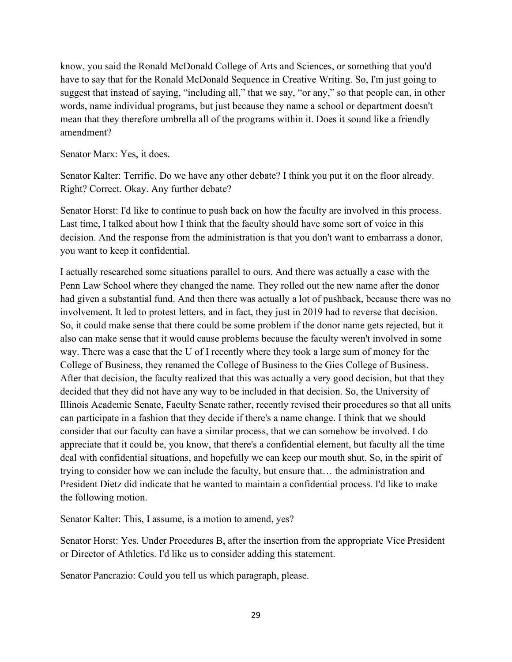know, you said the Ronald McDonald College of Arts and Sciences, or something that you'd have to say that for the Ronald McDonald Sequence in Creative Writing. So, I'm just going to suggest that instead of saying, "including all," that we say, "or any," so that people can, in other words, name individual programs, but just because they name a school or department doesn't mean that they therefore umbrella all of the programs within it. Does it sound like a friendly amendment?

Senator Marx: Yes, it does.

Senator Kalter: Terrific. Do we have any other debate? I think you put it on the floor already. Right? Correct. Okay. Any further debate?

Senator Horst: I'd like to continue to push back on how the faculty are involved in this process. Last time, I talked about how I think that the faculty should have some sort of voice in this decision. And the response from the administration is that you don't want to embarrass a donor, you want to keep it confidential.

I actually researched some situations parallel to ours. And there was actually a case with the Penn Law School where they changed the name. They rolled out the new name after the donor had given a substantial fund. And then there was actually a lot of pushback, because there was no involvement. It led to protest letters, and in fact, they just in 2019 had to reverse that decision. So, it could make sense that there could be some problem if the donor name gets rejected, but it also can make sense that it would cause problems because the faculty weren't involved in some way. There was a case that the U of I recently where they took a large sum of money for the College of Business, they renamed the College of Business to the Gies College of Business. After that decision, the faculty realized that this was actually a very good decision, but that they decided that they did not have any way to be included in that decision. So, the University of Illinois Academic Senate, Faculty Senate rather, recently revised their procedures so that all units can participate in a fashion that they decide if there's a name change. I think that we should consider that our faculty can have a similar process, that we can somehow be involved. I do appreciate that it could be, you know, that there's a confidential element, but faculty all the time deal with confidential situations, and hopefully we can keep our mouth shut. So, in the spirit of trying to consider how we can include the faculty, but ensure that… the administration and President Dietz did indicate that he wanted to maintain a confidential process. I'd like to make the following motion.

Senator Kalter: This, I assume, is a motion to amend, yes?

Senator Horst: Yes. Under Procedures B, after the insertion from the appropriate Vice President or Director of Athletics. I'd like us to consider adding this statement.

Senator Pancrazio: Could you tell us which paragraph, please.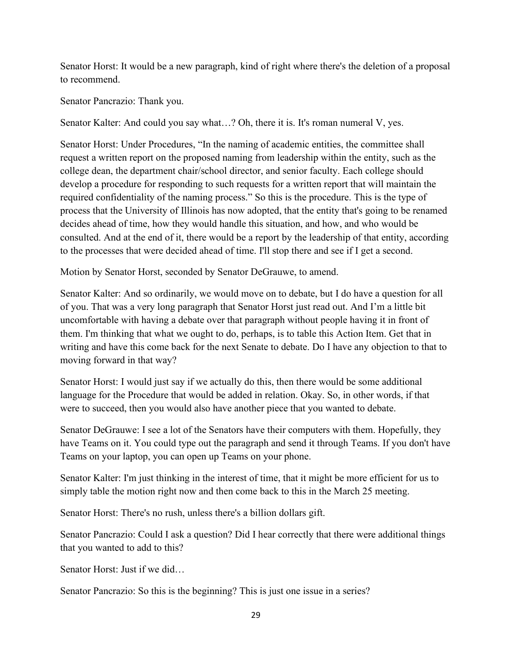Senator Horst: It would be a new paragraph, kind of right where there's the deletion of a proposal to recommend.

Senator Pancrazio: Thank you.

Senator Kalter: And could you say what…? Oh, there it is. It's roman numeral V, yes.

Senator Horst: Under Procedures, "In the naming of academic entities, the committee shall request a written report on the proposed naming from leadership within the entity, such as the college dean, the department chair/school director, and senior faculty. Each college should develop a procedure for responding to such requests for a written report that will maintain the required confidentiality of the naming process." So this is the procedure. This is the type of process that the University of Illinois has now adopted, that the entity that's going to be renamed decides ahead of time, how they would handle this situation, and how, and who would be consulted. And at the end of it, there would be a report by the leadership of that entity, according to the processes that were decided ahead of time. I'll stop there and see if I get a second.

Motion by Senator Horst, seconded by Senator DeGrauwe, to amend.

Senator Kalter: And so ordinarily, we would move on to debate, but I do have a question for all of you. That was a very long paragraph that Senator Horst just read out. And I'm a little bit uncomfortable with having a debate over that paragraph without people having it in front of them. I'm thinking that what we ought to do, perhaps, is to table this Action Item. Get that in writing and have this come back for the next Senate to debate. Do I have any objection to that to moving forward in that way?

Senator Horst: I would just say if we actually do this, then there would be some additional language for the Procedure that would be added in relation. Okay. So, in other words, if that were to succeed, then you would also have another piece that you wanted to debate.

Senator DeGrauwe: I see a lot of the Senators have their computers with them. Hopefully, they have Teams on it. You could type out the paragraph and send it through Teams. If you don't have Teams on your laptop, you can open up Teams on your phone.

Senator Kalter: I'm just thinking in the interest of time, that it might be more efficient for us to simply table the motion right now and then come back to this in the March 25 meeting.

Senator Horst: There's no rush, unless there's a billion dollars gift.

Senator Pancrazio: Could I ask a question? Did I hear correctly that there were additional things that you wanted to add to this?

Senator Horst: Just if we did…

Senator Pancrazio: So this is the beginning? This is just one issue in a series?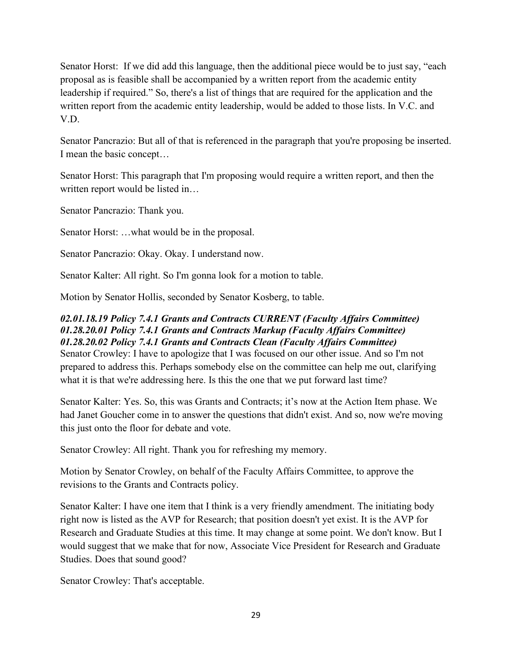Senator Horst: If we did add this language, then the additional piece would be to just say, "each proposal as is feasible shall be accompanied by a written report from the academic entity leadership if required." So, there's a list of things that are required for the application and the written report from the academic entity leadership, would be added to those lists. In V.C. and V.D.

Senator Pancrazio: But all of that is referenced in the paragraph that you're proposing be inserted. I mean the basic concept…

Senator Horst: This paragraph that I'm proposing would require a written report, and then the written report would be listed in…

Senator Pancrazio: Thank you.

Senator Horst: …what would be in the proposal.

Senator Pancrazio: Okay. Okay. I understand now.

Senator Kalter: All right. So I'm gonna look for a motion to table.

Motion by Senator Hollis, seconded by Senator Kosberg, to table.

# *02.01.18.19 Policy 7.4.1 Grants and Contracts CURRENT (Faculty Affairs Committee) 01.28.20.01 Policy 7.4.1 Grants and Contracts Markup (Faculty Affairs Committee) 01.28.20.02 Policy 7.4.1 Grants and Contracts Clean (Faculty Affairs Committee)*

Senator Crowley: I have to apologize that I was focused on our other issue. And so I'm not prepared to address this. Perhaps somebody else on the committee can help me out, clarifying what it is that we're addressing here. Is this the one that we put forward last time?

Senator Kalter: Yes. So, this was Grants and Contracts; it's now at the Action Item phase. We had Janet Goucher come in to answer the questions that didn't exist. And so, now we're moving this just onto the floor for debate and vote.

Senator Crowley: All right. Thank you for refreshing my memory.

Motion by Senator Crowley, on behalf of the Faculty Affairs Committee, to approve the revisions to the Grants and Contracts policy.

Senator Kalter: I have one item that I think is a very friendly amendment. The initiating body right now is listed as the AVP for Research; that position doesn't yet exist. It is the AVP for Research and Graduate Studies at this time. It may change at some point. We don't know. But I would suggest that we make that for now, Associate Vice President for Research and Graduate Studies. Does that sound good?

Senator Crowley: That's acceptable.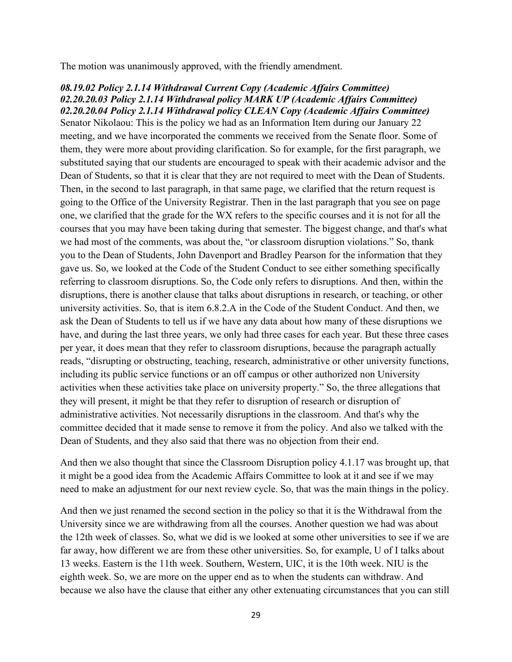The motion was unanimously approved, with the friendly amendment.

#### *08.19.02 Policy 2.1.14 Withdrawal Current Copy (Academic Affairs Committee) 02.20.20.03 Policy 2.1.14 Withdrawal policy MARK UP (Academic Affairs Committee) 02.20.20.04 Policy 2.1.14 Withdrawal policy CLEAN Copy (Academic Affairs Committee)*

Senator Nikolaou: This is the policy we had as an Information Item during our January 22 meeting, and we have incorporated the comments we received from the Senate floor. Some of them, they were more about providing clarification. So for example, for the first paragraph, we substituted saying that our students are encouraged to speak with their academic advisor and the Dean of Students, so that it is clear that they are not required to meet with the Dean of Students. Then, in the second to last paragraph, in that same page, we clarified that the return request is going to the Office of the University Registrar. Then in the last paragraph that you see on page one, we clarified that the grade for the WX refers to the specific courses and it is not for all the courses that you may have been taking during that semester. The biggest change, and that's what we had most of the comments, was about the, "or classroom disruption violations." So, thank you to the Dean of Students, John Davenport and Bradley Pearson for the information that they gave us. So, we looked at the Code of the Student Conduct to see either something specifically referring to classroom disruptions. So, the Code only refers to disruptions. And then, within the disruptions, there is another clause that talks about disruptions in research, or teaching, or other university activities. So, that is item 6.8.2.A in the Code of the Student Conduct. And then, we ask the Dean of Students to tell us if we have any data about how many of these disruptions we have, and during the last three years, we only had three cases for each year. But these three cases per year, it does mean that they refer to classroom disruptions, because the paragraph actually reads, "disrupting or obstructing, teaching, research, administrative or other university functions, including its public service functions or an off campus or other authorized non University activities when these activities take place on university property." So, the three allegations that they will present, it might be that they refer to disruption of research or disruption of administrative activities. Not necessarily disruptions in the classroom. And that's why the committee decided that it made sense to remove it from the policy. And also we talked with the Dean of Students, and they also said that there was no objection from their end.

And then we also thought that since the Classroom Disruption policy 4.1.17 was brought up, that it might be a good idea from the Academic Affairs Committee to look at it and see if we may need to make an adjustment for our next review cycle. So, that was the main things in the policy.

And then we just renamed the second section in the policy so that it is the Withdrawal from the University since we are withdrawing from all the courses. Another question we had was about the 12th week of classes. So, what we did is we looked at some other universities to see if we are far away, how different we are from these other universities. So, for example, U of I talks about 13 weeks. Eastern is the 11th week. Southern, Western, UIC, it is the 10th week. NIU is the eighth week. So, we are more on the upper end as to when the students can withdraw. And because we also have the clause that either any other extenuating circumstances that you can still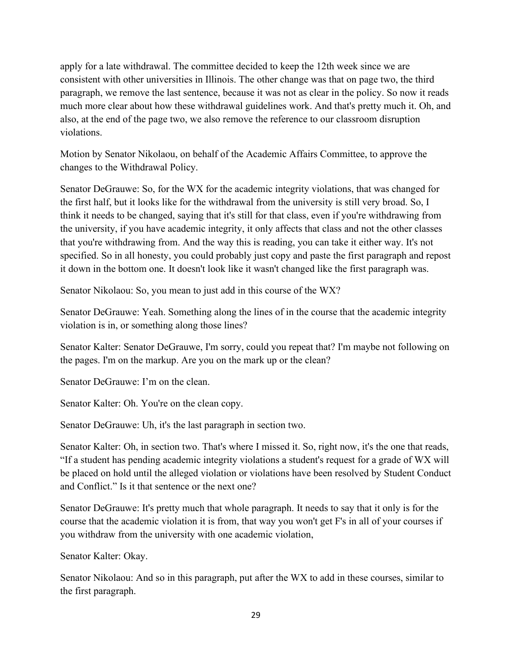apply for a late withdrawal. The committee decided to keep the 12th week since we are consistent with other universities in Illinois. The other change was that on page two, the third paragraph, we remove the last sentence, because it was not as clear in the policy. So now it reads much more clear about how these withdrawal guidelines work. And that's pretty much it. Oh, and also, at the end of the page two, we also remove the reference to our classroom disruption violations.

Motion by Senator Nikolaou, on behalf of the Academic Affairs Committee, to approve the changes to the Withdrawal Policy.

Senator DeGrauwe: So, for the WX for the academic integrity violations, that was changed for the first half, but it looks like for the withdrawal from the university is still very broad. So, I think it needs to be changed, saying that it's still for that class, even if you're withdrawing from the university, if you have academic integrity, it only affects that class and not the other classes that you're withdrawing from. And the way this is reading, you can take it either way. It's not specified. So in all honesty, you could probably just copy and paste the first paragraph and repost it down in the bottom one. It doesn't look like it wasn't changed like the first paragraph was.

Senator Nikolaou: So, you mean to just add in this course of the WX?

Senator DeGrauwe: Yeah. Something along the lines of in the course that the academic integrity violation is in, or something along those lines?

Senator Kalter: Senator DeGrauwe, I'm sorry, could you repeat that? I'm maybe not following on the pages. I'm on the markup. Are you on the mark up or the clean?

Senator DeGrauwe: I'm on the clean.

Senator Kalter: Oh. You're on the clean copy.

Senator DeGrauwe: Uh, it's the last paragraph in section two.

Senator Kalter: Oh, in section two. That's where I missed it. So, right now, it's the one that reads, "If a student has pending academic integrity violations a student's request for a grade of WX will be placed on hold until the alleged violation or violations have been resolved by Student Conduct and Conflict." Is it that sentence or the next one?

Senator DeGrauwe: It's pretty much that whole paragraph. It needs to say that it only is for the course that the academic violation it is from, that way you won't get F's in all of your courses if you withdraw from the university with one academic violation,

Senator Kalter: Okay.

Senator Nikolaou: And so in this paragraph, put after the WX to add in these courses, similar to the first paragraph.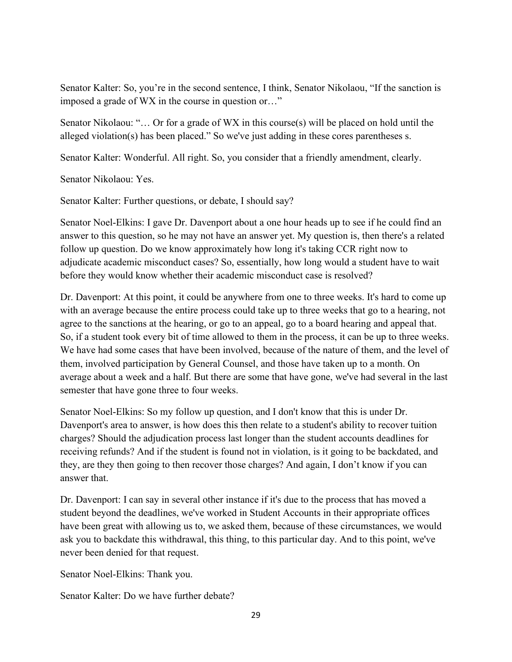Senator Kalter: So, you're in the second sentence, I think, Senator Nikolaou, "If the sanction is imposed a grade of WX in the course in question or…"

Senator Nikolaou: "… Or for a grade of WX in this course(s) will be placed on hold until the alleged violation(s) has been placed." So we've just adding in these cores parentheses s.

Senator Kalter: Wonderful. All right. So, you consider that a friendly amendment, clearly.

Senator Nikolaou: Yes.

Senator Kalter: Further questions, or debate, I should say?

Senator Noel-Elkins: I gave Dr. Davenport about a one hour heads up to see if he could find an answer to this question, so he may not have an answer yet. My question is, then there's a related follow up question. Do we know approximately how long it's taking CCR right now to adjudicate academic misconduct cases? So, essentially, how long would a student have to wait before they would know whether their academic misconduct case is resolved?

Dr. Davenport: At this point, it could be anywhere from one to three weeks. It's hard to come up with an average because the entire process could take up to three weeks that go to a hearing, not agree to the sanctions at the hearing, or go to an appeal, go to a board hearing and appeal that. So, if a student took every bit of time allowed to them in the process, it can be up to three weeks. We have had some cases that have been involved, because of the nature of them, and the level of them, involved participation by General Counsel, and those have taken up to a month. On average about a week and a half. But there are some that have gone, we've had several in the last semester that have gone three to four weeks.

Senator Noel-Elkins: So my follow up question, and I don't know that this is under Dr. Davenport's area to answer, is how does this then relate to a student's ability to recover tuition charges? Should the adjudication process last longer than the student accounts deadlines for receiving refunds? And if the student is found not in violation, is it going to be backdated, and they, are they then going to then recover those charges? And again, I don't know if you can answer that.

Dr. Davenport: I can say in several other instance if it's due to the process that has moved a student beyond the deadlines, we've worked in Student Accounts in their appropriate offices have been great with allowing us to, we asked them, because of these circumstances, we would ask you to backdate this withdrawal, this thing, to this particular day. And to this point, we've never been denied for that request.

Senator Noel-Elkins: Thank you.

Senator Kalter: Do we have further debate?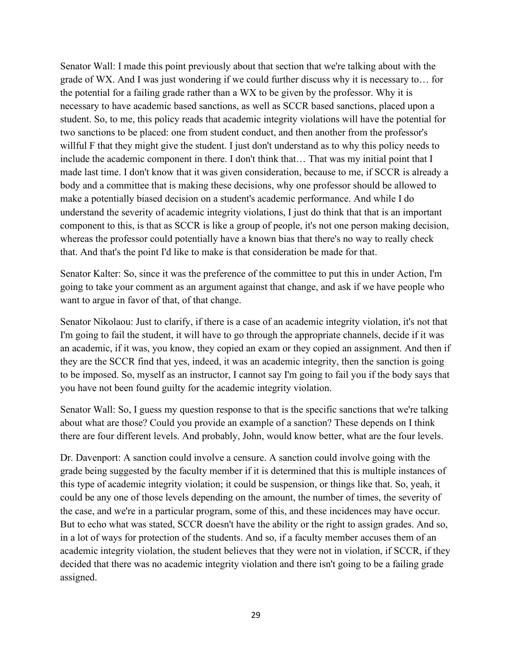Senator Wall: I made this point previously about that section that we're talking about with the grade of WX. And I was just wondering if we could further discuss why it is necessary to… for the potential for a failing grade rather than a WX to be given by the professor. Why it is necessary to have academic based sanctions, as well as SCCR based sanctions, placed upon a student. So, to me, this policy reads that academic integrity violations will have the potential for two sanctions to be placed: one from student conduct, and then another from the professor's willful F that they might give the student. I just don't understand as to why this policy needs to include the academic component in there. I don't think that… That was my initial point that I made last time. I don't know that it was given consideration, because to me, if SCCR is already a body and a committee that is making these decisions, why one professor should be allowed to make a potentially biased decision on a student's academic performance. And while I do understand the severity of academic integrity violations, I just do think that that is an important component to this, is that as SCCR is like a group of people, it's not one person making decision, whereas the professor could potentially have a known bias that there's no way to really check that. And that's the point I'd like to make is that consideration be made for that.

Senator Kalter: So, since it was the preference of the committee to put this in under Action, I'm going to take your comment as an argument against that change, and ask if we have people who want to argue in favor of that, of that change.

Senator Nikolaou: Just to clarify, if there is a case of an academic integrity violation, it's not that I'm going to fail the student, it will have to go through the appropriate channels, decide if it was an academic, if it was, you know, they copied an exam or they copied an assignment. And then if they are the SCCR find that yes, indeed, it was an academic integrity, then the sanction is going to be imposed. So, myself as an instructor, I cannot say I'm going to fail you if the body says that you have not been found guilty for the academic integrity violation.

Senator Wall: So, I guess my question response to that is the specific sanctions that we're talking about what are those? Could you provide an example of a sanction? These depends on I think there are four different levels. And probably, John, would know better, what are the four levels.

Dr. Davenport: A sanction could involve a censure. A sanction could involve going with the grade being suggested by the faculty member if it is determined that this is multiple instances of this type of academic integrity violation; it could be suspension, or things like that. So, yeah, it could be any one of those levels depending on the amount, the number of times, the severity of the case, and we're in a particular program, some of this, and these incidences may have occur. But to echo what was stated, SCCR doesn't have the ability or the right to assign grades. And so, in a lot of ways for protection of the students. And so, if a faculty member accuses them of an academic integrity violation, the student believes that they were not in violation, if SCCR, if they decided that there was no academic integrity violation and there isn't going to be a failing grade assigned.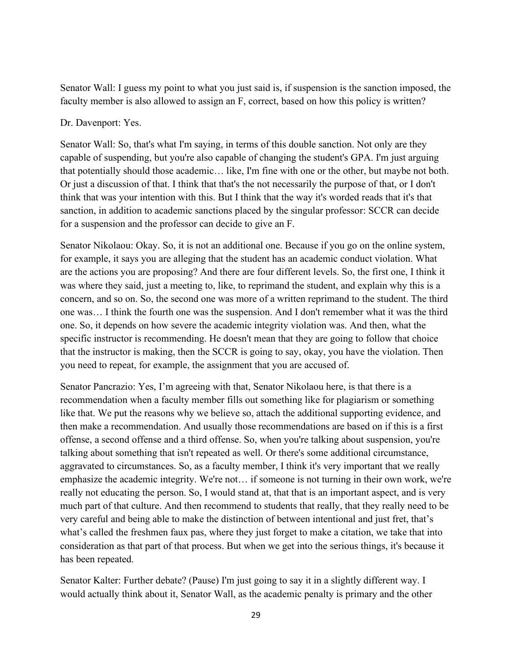Senator Wall: I guess my point to what you just said is, if suspension is the sanction imposed, the faculty member is also allowed to assign an F, correct, based on how this policy is written?

## Dr. Davenport: Yes.

Senator Wall: So, that's what I'm saying, in terms of this double sanction. Not only are they capable of suspending, but you're also capable of changing the student's GPA. I'm just arguing that potentially should those academic… like, I'm fine with one or the other, but maybe not both. Or just a discussion of that. I think that that's the not necessarily the purpose of that, or I don't think that was your intention with this. But I think that the way it's worded reads that it's that sanction, in addition to academic sanctions placed by the singular professor: SCCR can decide for a suspension and the professor can decide to give an F.

Senator Nikolaou: Okay. So, it is not an additional one. Because if you go on the online system, for example, it says you are alleging that the student has an academic conduct violation. What are the actions you are proposing? And there are four different levels. So, the first one, I think it was where they said, just a meeting to, like, to reprimand the student, and explain why this is a concern, and so on. So, the second one was more of a written reprimand to the student. The third one was… I think the fourth one was the suspension. And I don't remember what it was the third one. So, it depends on how severe the academic integrity violation was. And then, what the specific instructor is recommending. He doesn't mean that they are going to follow that choice that the instructor is making, then the SCCR is going to say, okay, you have the violation. Then you need to repeat, for example, the assignment that you are accused of.

Senator Pancrazio: Yes, I'm agreeing with that, Senator Nikolaou here, is that there is a recommendation when a faculty member fills out something like for plagiarism or something like that. We put the reasons why we believe so, attach the additional supporting evidence, and then make a recommendation. And usually those recommendations are based on if this is a first offense, a second offense and a third offense. So, when you're talking about suspension, you're talking about something that isn't repeated as well. Or there's some additional circumstance, aggravated to circumstances. So, as a faculty member, I think it's very important that we really emphasize the academic integrity. We're not… if someone is not turning in their own work, we're really not educating the person. So, I would stand at, that that is an important aspect, and is very much part of that culture. And then recommend to students that really, that they really need to be very careful and being able to make the distinction of between intentional and just fret, that's what's called the freshmen faux pas, where they just forget to make a citation, we take that into consideration as that part of that process. But when we get into the serious things, it's because it has been repeated.

Senator Kalter: Further debate? (Pause) I'm just going to say it in a slightly different way. I would actually think about it, Senator Wall, as the academic penalty is primary and the other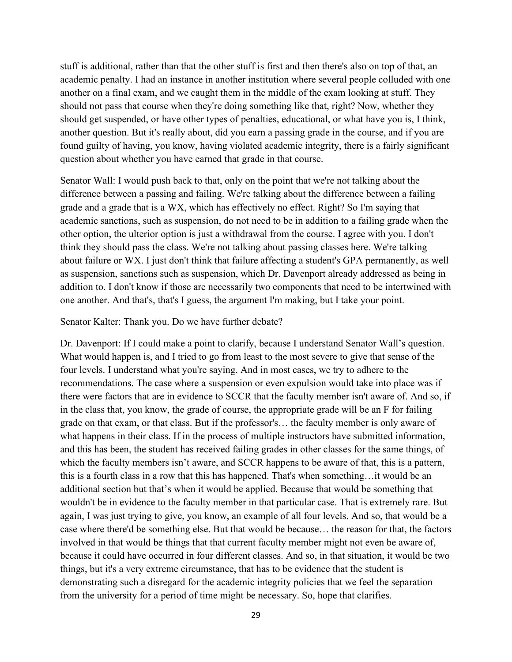stuff is additional, rather than that the other stuff is first and then there's also on top of that, an academic penalty. I had an instance in another institution where several people colluded with one another on a final exam, and we caught them in the middle of the exam looking at stuff. They should not pass that course when they're doing something like that, right? Now, whether they should get suspended, or have other types of penalties, educational, or what have you is, I think, another question. But it's really about, did you earn a passing grade in the course, and if you are found guilty of having, you know, having violated academic integrity, there is a fairly significant question about whether you have earned that grade in that course.

Senator Wall: I would push back to that, only on the point that we're not talking about the difference between a passing and failing. We're talking about the difference between a failing grade and a grade that is a WX, which has effectively no effect. Right? So I'm saying that academic sanctions, such as suspension, do not need to be in addition to a failing grade when the other option, the ulterior option is just a withdrawal from the course. I agree with you. I don't think they should pass the class. We're not talking about passing classes here. We're talking about failure or WX. I just don't think that failure affecting a student's GPA permanently, as well as suspension, sanctions such as suspension, which Dr. Davenport already addressed as being in addition to. I don't know if those are necessarily two components that need to be intertwined with one another. And that's, that's I guess, the argument I'm making, but I take your point.

Senator Kalter: Thank you. Do we have further debate?

Dr. Davenport: If I could make a point to clarify, because I understand Senator Wall's question. What would happen is, and I tried to go from least to the most severe to give that sense of the four levels. I understand what you're saying. And in most cases, we try to adhere to the recommendations. The case where a suspension or even expulsion would take into place was if there were factors that are in evidence to SCCR that the faculty member isn't aware of. And so, if in the class that, you know, the grade of course, the appropriate grade will be an F for failing grade on that exam, or that class. But if the professor's… the faculty member is only aware of what happens in their class. If in the process of multiple instructors have submitted information, and this has been, the student has received failing grades in other classes for the same things, of which the faculty members isn't aware, and SCCR happens to be aware of that, this is a pattern, this is a fourth class in a row that this has happened. That's when something…it would be an additional section but that's when it would be applied. Because that would be something that wouldn't be in evidence to the faculty member in that particular case. That is extremely rare. But again, I was just trying to give, you know, an example of all four levels. And so, that would be a case where there'd be something else. But that would be because… the reason for that, the factors involved in that would be things that that current faculty member might not even be aware of, because it could have occurred in four different classes. And so, in that situation, it would be two things, but it's a very extreme circumstance, that has to be evidence that the student is demonstrating such a disregard for the academic integrity policies that we feel the separation from the university for a period of time might be necessary. So, hope that clarifies.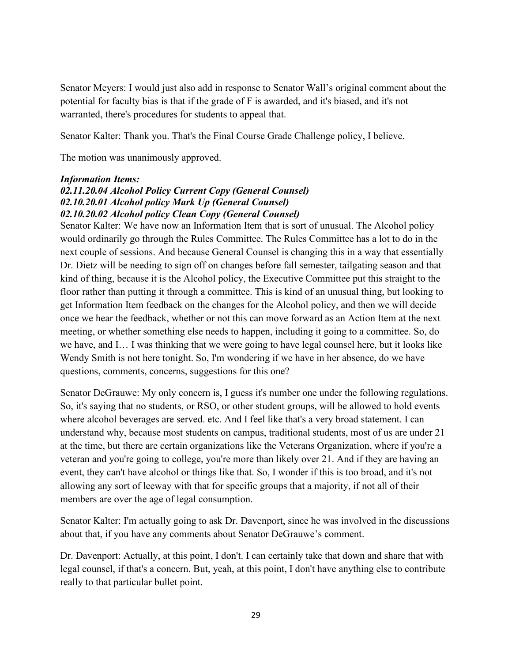Senator Meyers: I would just also add in response to Senator Wall's original comment about the potential for faculty bias is that if the grade of F is awarded, and it's biased, and it's not warranted, there's procedures for students to appeal that.

Senator Kalter: Thank you. That's the Final Course Grade Challenge policy, I believe.

The motion was unanimously approved.

#### *Information Items:*

## *02.11.20.04 Alcohol Policy Current Copy (General Counsel) 02.10.20.01 Alcohol policy Mark Up (General Counsel) 02.10.20.02 Alcohol policy Clean Copy (General Counsel)*

Senator Kalter: We have now an Information Item that is sort of unusual. The Alcohol policy would ordinarily go through the Rules Committee. The Rules Committee has a lot to do in the next couple of sessions. And because General Counsel is changing this in a way that essentially Dr. Dietz will be needing to sign off on changes before fall semester, tailgating season and that kind of thing, because it is the Alcohol policy, the Executive Committee put this straight to the floor rather than putting it through a committee. This is kind of an unusual thing, but looking to get Information Item feedback on the changes for the Alcohol policy, and then we will decide once we hear the feedback, whether or not this can move forward as an Action Item at the next meeting, or whether something else needs to happen, including it going to a committee. So, do we have, and I… I was thinking that we were going to have legal counsel here, but it looks like Wendy Smith is not here tonight. So, I'm wondering if we have in her absence, do we have questions, comments, concerns, suggestions for this one?

Senator DeGrauwe: My only concern is, I guess it's number one under the following regulations. So, it's saying that no students, or RSO, or other student groups, will be allowed to hold events where alcohol beverages are served. etc. And I feel like that's a very broad statement. I can understand why, because most students on campus, traditional students, most of us are under 21 at the time, but there are certain organizations like the Veterans Organization, where if you're a veteran and you're going to college, you're more than likely over 21. And if they are having an event, they can't have alcohol or things like that. So, I wonder if this is too broad, and it's not allowing any sort of leeway with that for specific groups that a majority, if not all of their members are over the age of legal consumption.

Senator Kalter: I'm actually going to ask Dr. Davenport, since he was involved in the discussions about that, if you have any comments about Senator DeGrauwe's comment.

Dr. Davenport: Actually, at this point, I don't. I can certainly take that down and share that with legal counsel, if that's a concern. But, yeah, at this point, I don't have anything else to contribute really to that particular bullet point.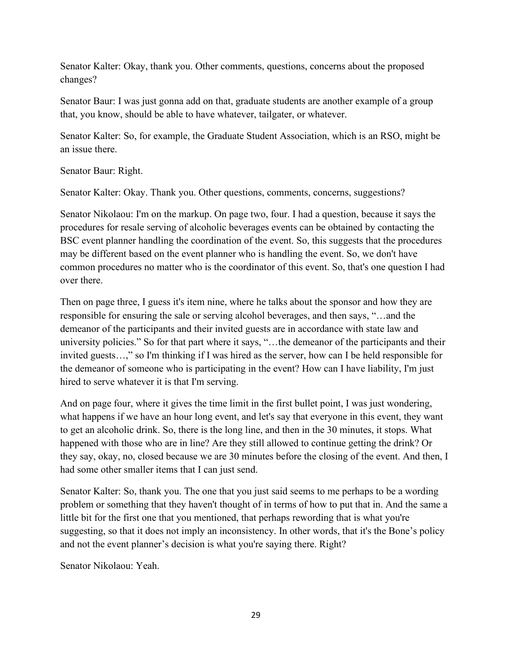Senator Kalter: Okay, thank you. Other comments, questions, concerns about the proposed changes?

Senator Baur: I was just gonna add on that, graduate students are another example of a group that, you know, should be able to have whatever, tailgater, or whatever.

Senator Kalter: So, for example, the Graduate Student Association, which is an RSO, might be an issue there.

Senator Baur: Right.

Senator Kalter: Okay. Thank you. Other questions, comments, concerns, suggestions?

Senator Nikolaou: I'm on the markup. On page two, four. I had a question, because it says the procedures for resale serving of alcoholic beverages events can be obtained by contacting the BSC event planner handling the coordination of the event. So, this suggests that the procedures may be different based on the event planner who is handling the event. So, we don't have common procedures no matter who is the coordinator of this event. So, that's one question I had over there.

Then on page three, I guess it's item nine, where he talks about the sponsor and how they are responsible for ensuring the sale or serving alcohol beverages, and then says, "…and the demeanor of the participants and their invited guests are in accordance with state law and university policies." So for that part where it says, "…the demeanor of the participants and their invited guests…," so I'm thinking if I was hired as the server, how can I be held responsible for the demeanor of someone who is participating in the event? How can I have liability, I'm just hired to serve whatever it is that I'm serving.

And on page four, where it gives the time limit in the first bullet point, I was just wondering, what happens if we have an hour long event, and let's say that everyone in this event, they want to get an alcoholic drink. So, there is the long line, and then in the 30 minutes, it stops. What happened with those who are in line? Are they still allowed to continue getting the drink? Or they say, okay, no, closed because we are 30 minutes before the closing of the event. And then, I had some other smaller items that I can just send.

Senator Kalter: So, thank you. The one that you just said seems to me perhaps to be a wording problem or something that they haven't thought of in terms of how to put that in. And the same a little bit for the first one that you mentioned, that perhaps rewording that is what you're suggesting, so that it does not imply an inconsistency. In other words, that it's the Bone's policy and not the event planner's decision is what you're saying there. Right?

Senator Nikolaou: Yeah.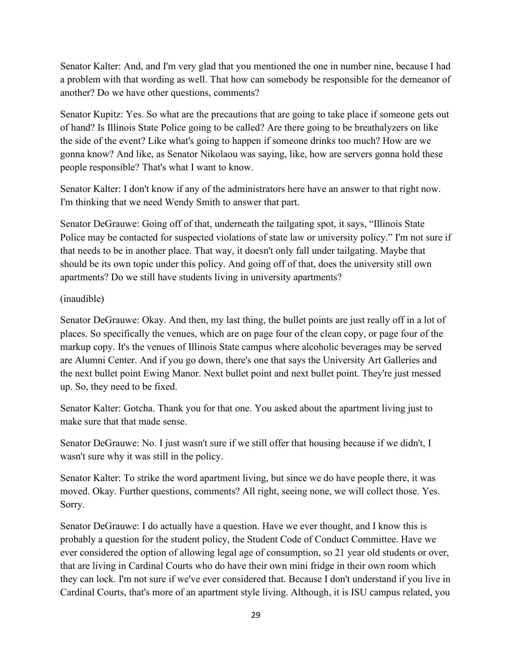Senator Kalter: And, and I'm very glad that you mentioned the one in number nine, because I had a problem with that wording as well. That how can somebody be responsible for the demeanor of another? Do we have other questions, comments?

Senator Kupitz: Yes. So what are the precautions that are going to take place if someone gets out of hand? Is Illinois State Police going to be called? Are there going to be breathalyzers on like the side of the event? Like what's going to happen if someone drinks too much? How are we gonna know? And like, as Senator Nikolaou was saying, like, how are servers gonna hold these people responsible? That's what I want to know.

Senator Kalter: I don't know if any of the administrators here have an answer to that right now. I'm thinking that we need Wendy Smith to answer that part.

Senator DeGrauwe: Going off of that, underneath the tailgating spot, it says, "Illinois State Police may be contacted for suspected violations of state law or university policy." I'm not sure if that needs to be in another place. That way, it doesn't only fall under tailgating. Maybe that should be its own topic under this policy. And going off of that, does the university still own apartments? Do we still have students living in university apartments?

# (inaudible)

Senator DeGrauwe: Okay. And then, my last thing, the bullet points are just really off in a lot of places. So specifically the venues, which are on page four of the clean copy, or page four of the markup copy. It's the venues of Illinois State campus where alcoholic beverages may be served are Alumni Center. And if you go down, there's one that says the University Art Galleries and the next bullet point Ewing Manor. Next bullet point and next bullet point. They're just messed up. So, they need to be fixed.

Senator Kalter: Gotcha. Thank you for that one. You asked about the apartment living just to make sure that that made sense.

Senator DeGrauwe: No. I just wasn't sure if we still offer that housing because if we didn't, I wasn't sure why it was still in the policy.

Senator Kalter: To strike the word apartment living, but since we do have people there, it was moved. Okay. Further questions, comments? All right, seeing none, we will collect those. Yes. Sorry.

Senator DeGrauwe: I do actually have a question. Have we ever thought, and I know this is probably a question for the student policy, the Student Code of Conduct Committee. Have we ever considered the option of allowing legal age of consumption, so 21 year old students or over, that are living in Cardinal Courts who do have their own mini fridge in their own room which they can lock. I'm not sure if we've ever considered that. Because I don't understand if you live in Cardinal Courts, that's more of an apartment style living. Although, it is ISU campus related, you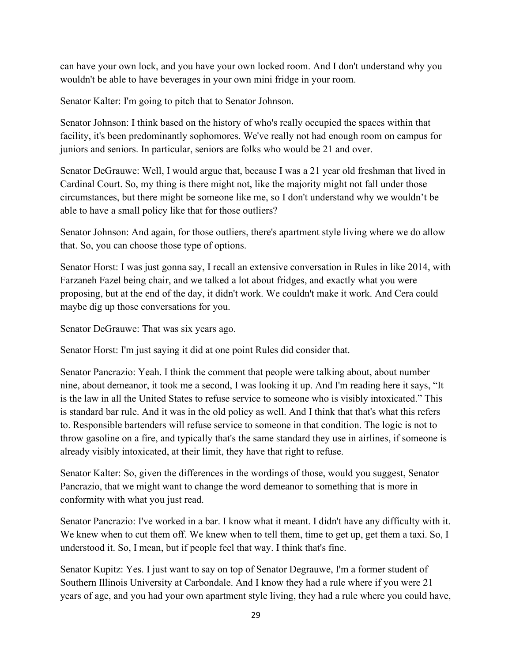can have your own lock, and you have your own locked room. And I don't understand why you wouldn't be able to have beverages in your own mini fridge in your room.

Senator Kalter: I'm going to pitch that to Senator Johnson.

Senator Johnson: I think based on the history of who's really occupied the spaces within that facility, it's been predominantly sophomores. We've really not had enough room on campus for juniors and seniors. In particular, seniors are folks who would be 21 and over.

Senator DeGrauwe: Well, I would argue that, because I was a 21 year old freshman that lived in Cardinal Court. So, my thing is there might not, like the majority might not fall under those circumstances, but there might be someone like me, so I don't understand why we wouldn't be able to have a small policy like that for those outliers?

Senator Johnson: And again, for those outliers, there's apartment style living where we do allow that. So, you can choose those type of options.

Senator Horst: I was just gonna say, I recall an extensive conversation in Rules in like 2014, with Farzaneh Fazel being chair, and we talked a lot about fridges, and exactly what you were proposing, but at the end of the day, it didn't work. We couldn't make it work. And Cera could maybe dig up those conversations for you.

Senator DeGrauwe: That was six years ago.

Senator Horst: I'm just saying it did at one point Rules did consider that.

Senator Pancrazio: Yeah. I think the comment that people were talking about, about number nine, about demeanor, it took me a second, I was looking it up. And I'm reading here it says, "It is the law in all the United States to refuse service to someone who is visibly intoxicated." This is standard bar rule. And it was in the old policy as well. And I think that that's what this refers to. Responsible bartenders will refuse service to someone in that condition. The logic is not to throw gasoline on a fire, and typically that's the same standard they use in airlines, if someone is already visibly intoxicated, at their limit, they have that right to refuse.

Senator Kalter: So, given the differences in the wordings of those, would you suggest, Senator Pancrazio, that we might want to change the word demeanor to something that is more in conformity with what you just read.

Senator Pancrazio: I've worked in a bar. I know what it meant. I didn't have any difficulty with it. We knew when to cut them off. We knew when to tell them, time to get up, get them a taxi. So, I understood it. So, I mean, but if people feel that way. I think that's fine.

Senator Kupitz: Yes. I just want to say on top of Senator Degrauwe, I'm a former student of Southern Illinois University at Carbondale. And I know they had a rule where if you were 21 years of age, and you had your own apartment style living, they had a rule where you could have,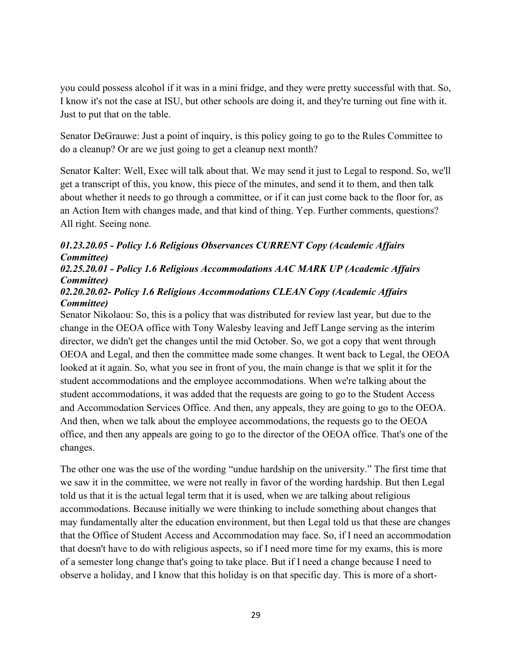you could possess alcohol if it was in a mini fridge, and they were pretty successful with that. So, I know it's not the case at ISU, but other schools are doing it, and they're turning out fine with it. Just to put that on the table.

Senator DeGrauwe: Just a point of inquiry, is this policy going to go to the Rules Committee to do a cleanup? Or are we just going to get a cleanup next month?

Senator Kalter: Well, Exec will talk about that. We may send it just to Legal to respond. So, we'll get a transcript of this, you know, this piece of the minutes, and send it to them, and then talk about whether it needs to go through a committee, or if it can just come back to the floor for, as an Action Item with changes made, and that kind of thing. Yep. Further comments, questions? All right. Seeing none.

# *01.23.20.05 - Policy 1.6 Religious Observances CURRENT Copy (Academic Affairs Committee)*

# *02.25.20.01 - Policy 1.6 Religious Accommodations AAC MARK UP (Academic Affairs Committee)*

# *02.20.20.02- Policy 1.6 Religious Accommodations CLEAN Copy (Academic Affairs Committee)*

Senator Nikolaou: So, this is a policy that was distributed for review last year, but due to the change in the OEOA office with Tony Walesby leaving and Jeff Lange serving as the interim director, we didn't get the changes until the mid October. So, we got a copy that went through OEOA and Legal, and then the committee made some changes. It went back to Legal, the OEOA looked at it again. So, what you see in front of you, the main change is that we split it for the student accommodations and the employee accommodations. When we're talking about the student accommodations, it was added that the requests are going to go to the Student Access and Accommodation Services Office. And then, any appeals, they are going to go to the OEOA. And then, when we talk about the employee accommodations, the requests go to the OEOA office, and then any appeals are going to go to the director of the OEOA office. That's one of the changes.

The other one was the use of the wording "undue hardship on the university." The first time that we saw it in the committee, we were not really in favor of the wording hardship. But then Legal told us that it is the actual legal term that it is used, when we are talking about religious accommodations. Because initially we were thinking to include something about changes that may fundamentally alter the education environment, but then Legal told us that these are changes that the Office of Student Access and Accommodation may face. So, if I need an accommodation that doesn't have to do with religious aspects, so if I need more time for my exams, this is more of a semester long change that's going to take place. But if I need a change because I need to observe a holiday, and I know that this holiday is on that specific day. This is more of a short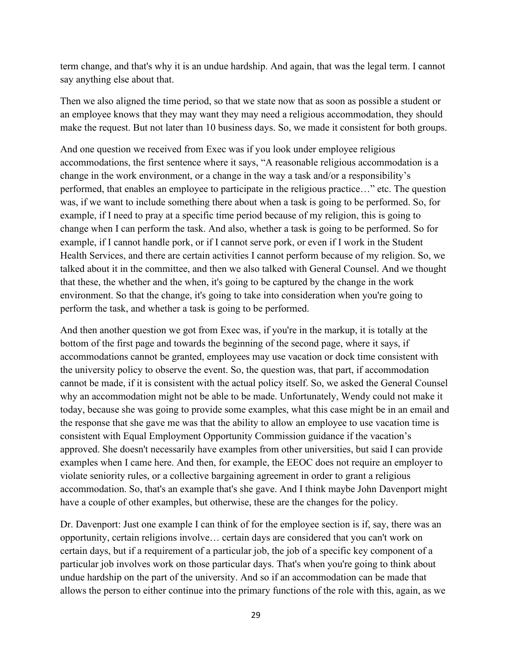term change, and that's why it is an undue hardship. And again, that was the legal term. I cannot say anything else about that.

Then we also aligned the time period, so that we state now that as soon as possible a student or an employee knows that they may want they may need a religious accommodation, they should make the request. But not later than 10 business days. So, we made it consistent for both groups.

And one question we received from Exec was if you look under employee religious accommodations, the first sentence where it says, "A reasonable religious accommodation is a change in the work environment, or a change in the way a task and/or a responsibility's performed, that enables an employee to participate in the religious practice…" etc. The question was, if we want to include something there about when a task is going to be performed. So, for example, if I need to pray at a specific time period because of my religion, this is going to change when I can perform the task. And also, whether a task is going to be performed. So for example, if I cannot handle pork, or if I cannot serve pork, or even if I work in the Student Health Services, and there are certain activities I cannot perform because of my religion. So, we talked about it in the committee, and then we also talked with General Counsel. And we thought that these, the whether and the when, it's going to be captured by the change in the work environment. So that the change, it's going to take into consideration when you're going to perform the task, and whether a task is going to be performed.

And then another question we got from Exec was, if you're in the markup, it is totally at the bottom of the first page and towards the beginning of the second page, where it says, if accommodations cannot be granted, employees may use vacation or dock time consistent with the university policy to observe the event. So, the question was, that part, if accommodation cannot be made, if it is consistent with the actual policy itself. So, we asked the General Counsel why an accommodation might not be able to be made. Unfortunately, Wendy could not make it today, because she was going to provide some examples, what this case might be in an email and the response that she gave me was that the ability to allow an employee to use vacation time is consistent with Equal Employment Opportunity Commission guidance if the vacation's approved. She doesn't necessarily have examples from other universities, but said I can provide examples when I came here. And then, for example, the EEOC does not require an employer to violate seniority rules, or a collective bargaining agreement in order to grant a religious accommodation. So, that's an example that's she gave. And I think maybe John Davenport might have a couple of other examples, but otherwise, these are the changes for the policy.

Dr. Davenport: Just one example I can think of for the employee section is if, say, there was an opportunity, certain religions involve… certain days are considered that you can't work on certain days, but if a requirement of a particular job, the job of a specific key component of a particular job involves work on those particular days. That's when you're going to think about undue hardship on the part of the university. And so if an accommodation can be made that allows the person to either continue into the primary functions of the role with this, again, as we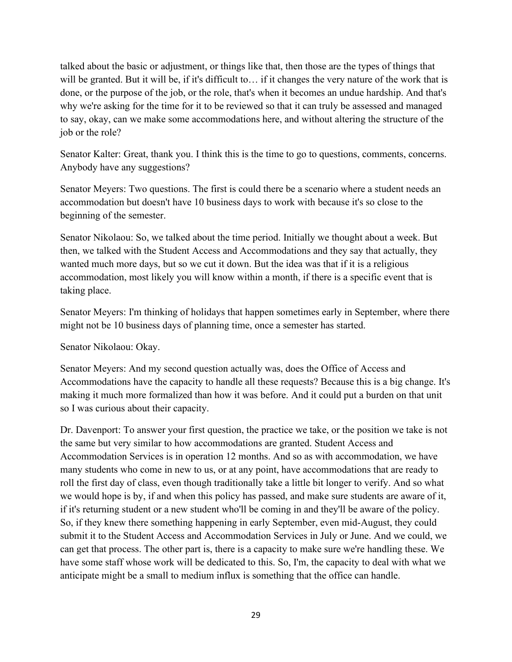talked about the basic or adjustment, or things like that, then those are the types of things that will be granted. But it will be, if it's difficult to... if it changes the very nature of the work that is done, or the purpose of the job, or the role, that's when it becomes an undue hardship. And that's why we're asking for the time for it to be reviewed so that it can truly be assessed and managed to say, okay, can we make some accommodations here, and without altering the structure of the job or the role?

Senator Kalter: Great, thank you. I think this is the time to go to questions, comments, concerns. Anybody have any suggestions?

Senator Meyers: Two questions. The first is could there be a scenario where a student needs an accommodation but doesn't have 10 business days to work with because it's so close to the beginning of the semester.

Senator Nikolaou: So, we talked about the time period. Initially we thought about a week. But then, we talked with the Student Access and Accommodations and they say that actually, they wanted much more days, but so we cut it down. But the idea was that if it is a religious accommodation, most likely you will know within a month, if there is a specific event that is taking place.

Senator Meyers: I'm thinking of holidays that happen sometimes early in September, where there might not be 10 business days of planning time, once a semester has started.

Senator Nikolaou: Okay.

Senator Meyers: And my second question actually was, does the Office of Access and Accommodations have the capacity to handle all these requests? Because this is a big change. It's making it much more formalized than how it was before. And it could put a burden on that unit so I was curious about their capacity.

Dr. Davenport: To answer your first question, the practice we take, or the position we take is not the same but very similar to how accommodations are granted. Student Access and Accommodation Services is in operation 12 months. And so as with accommodation, we have many students who come in new to us, or at any point, have accommodations that are ready to roll the first day of class, even though traditionally take a little bit longer to verify. And so what we would hope is by, if and when this policy has passed, and make sure students are aware of it, if it's returning student or a new student who'll be coming in and they'll be aware of the policy. So, if they knew there something happening in early September, even mid-August, they could submit it to the Student Access and Accommodation Services in July or June. And we could, we can get that process. The other part is, there is a capacity to make sure we're handling these. We have some staff whose work will be dedicated to this. So, I'm, the capacity to deal with what we anticipate might be a small to medium influx is something that the office can handle.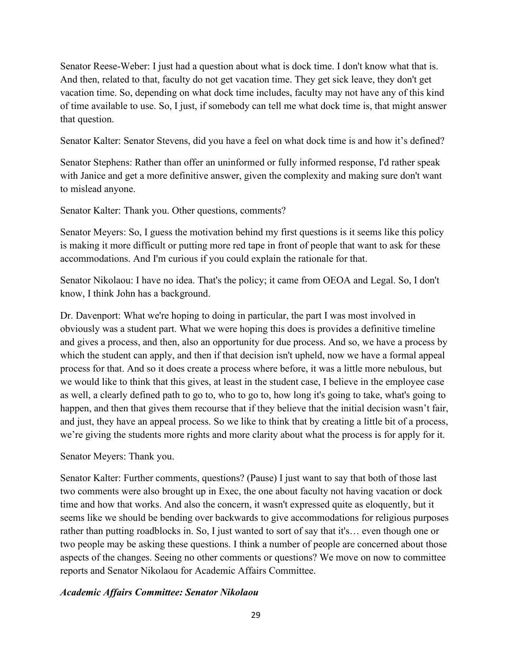Senator Reese-Weber: I just had a question about what is dock time. I don't know what that is. And then, related to that, faculty do not get vacation time. They get sick leave, they don't get vacation time. So, depending on what dock time includes, faculty may not have any of this kind of time available to use. So, I just, if somebody can tell me what dock time is, that might answer that question.

Senator Kalter: Senator Stevens, did you have a feel on what dock time is and how it's defined?

Senator Stephens: Rather than offer an uninformed or fully informed response, I'd rather speak with Janice and get a more definitive answer, given the complexity and making sure don't want to mislead anyone.

Senator Kalter: Thank you. Other questions, comments?

Senator Meyers: So, I guess the motivation behind my first questions is it seems like this policy is making it more difficult or putting more red tape in front of people that want to ask for these accommodations. And I'm curious if you could explain the rationale for that.

Senator Nikolaou: I have no idea. That's the policy; it came from OEOA and Legal. So, I don't know, I think John has a background.

Dr. Davenport: What we're hoping to doing in particular, the part I was most involved in obviously was a student part. What we were hoping this does is provides a definitive timeline and gives a process, and then, also an opportunity for due process. And so, we have a process by which the student can apply, and then if that decision isn't upheld, now we have a formal appeal process for that. And so it does create a process where before, it was a little more nebulous, but we would like to think that this gives, at least in the student case, I believe in the employee case as well, a clearly defined path to go to, who to go to, how long it's going to take, what's going to happen, and then that gives them recourse that if they believe that the initial decision wasn't fair, and just, they have an appeal process. So we like to think that by creating a little bit of a process, we're giving the students more rights and more clarity about what the process is for apply for it.

Senator Meyers: Thank you.

Senator Kalter: Further comments, questions? (Pause) I just want to say that both of those last two comments were also brought up in Exec, the one about faculty not having vacation or dock time and how that works. And also the concern, it wasn't expressed quite as eloquently, but it seems like we should be bending over backwards to give accommodations for religious purposes rather than putting roadblocks in. So, I just wanted to sort of say that it's… even though one or two people may be asking these questions. I think a number of people are concerned about those aspects of the changes. Seeing no other comments or questions? We move on now to committee reports and Senator Nikolaou for Academic Affairs Committee.

#### *Academic Affairs Committee: Senator Nikolaou*